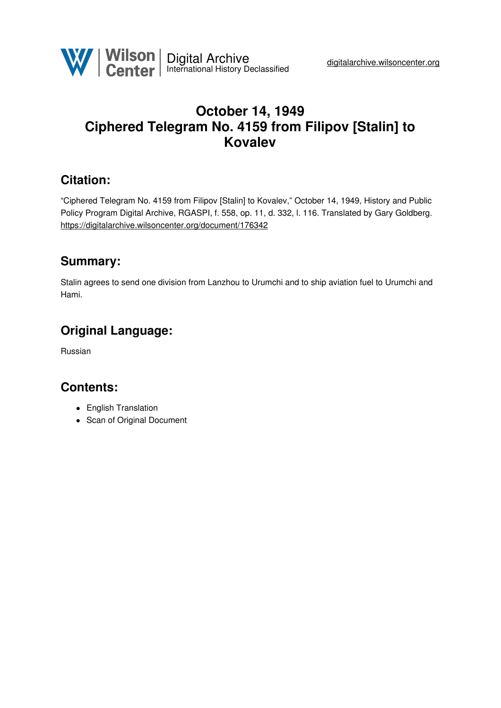

# **October 14, 1949 Ciphered Telegram No. 4159 from Filipov [Stalin] to Kovalev**

### **Citation:**

"Ciphered Telegram No. 4159 from Filipov [Stalin] to Kovalev," October 14, 1949, History and Public Policy Program Digital Archive, RGASPI, f. 558, op. 11, d. 332, l. 116. Translated by Gary Goldberg. <https://digitalarchive.wilsoncenter.org/document/176342>

### **Summary:**

Stalin agrees to send one division from Lanzhou to Urumchi and to ship aviation fuel to Urumchi and Hami.

### **Original Language:**

Russian

# **Contents:**

- English Translation
- Scan of Original Document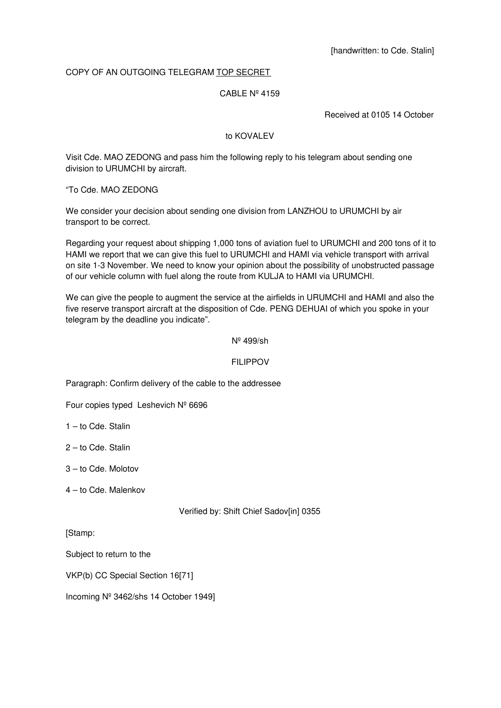### COPY OF AN OUTGOING TELEGRAM TOP SECRET

#### CABLE Nº 4159

Received at 0105 14 October

#### to KOVALEV

Visit Cde. MAO ZEDONG and pass him the following reply to his telegram about sending one division to URUMCHI by aircraft.

"To Cde. MAO ZEDONG

We consider your decision about sending one division from LANZHOU to URUMCHI by air transport to be correct.

Regarding your request about shipping 1,000 tons of aviation fuel to URUMCHI and 200 tons of it to HAMI we report that we can give this fuel to URUMCHI and HAMI via vehicle transport with arrival on site 1-3 November. We need to know your opinion about the possibility of unobstructed passage of our vehicle column with fuel along the route from KULJA to HAMI via URUMCHI.

We can give the people to augment the service at the airfields in URUMCHI and HAMI and also the five reserve transport aircraft at the disposition of Cde. PENG DEHUAI of which you spoke in your telegram by the deadline you indicate".

#### Nº 499/sh

#### FILIPPOV

Paragraph: Confirm delivery of the cable to the addressee

Four copies typed Leshevich Nº 6696

1 – to Cde. Stalin

2 – to Cde. Stalin

3 – to Cde. Molotov

4 – to Cde. Malenkov

#### Verified by: Shift Chief Sadov[in] 0355

[Stamp:

Subject to return to the

VKP(b) CC Special Section 16[71]

Incoming Nº 3462/shs 14 October 1949]